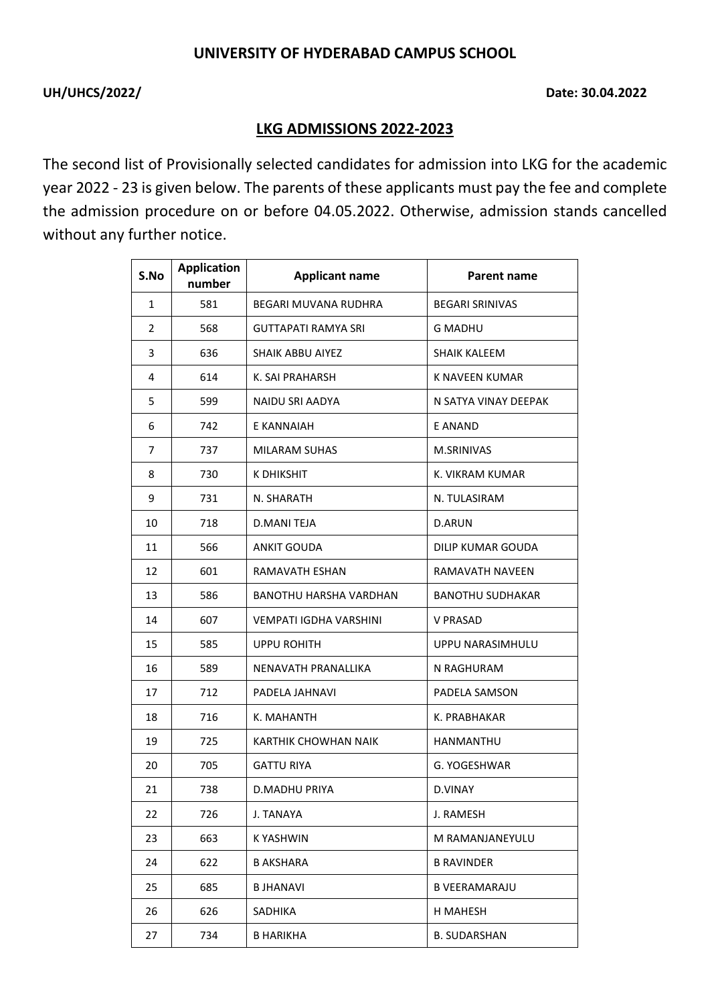## **UNIVERSITY OF HYDERABAD CAMPUS SCHOOL**

## UH/UHCS/2022/ **Date: 30.04.2022**

## **LKG ADMISSIONS 2022-2023**

The second list of Provisionally selected candidates for admission into LKG for the academic year 2022 - 23 is given below. The parents of these applicants must pay the fee and complete the admission procedure on or before 04.05.2022. Otherwise, admission stands cancelled without any further notice.

| S.No           | <b>Application</b><br>number | <b>Applicant name</b>       | Parent name             |
|----------------|------------------------------|-----------------------------|-------------------------|
| $\mathbf{1}$   | 581                          | <b>BEGARI MUVANA RUDHRA</b> | <b>BEGARI SRINIVAS</b>  |
| $\overline{2}$ | 568                          | <b>GUTTAPATI RAMYA SRI</b>  | <b>G MADHU</b>          |
| 3              | 636                          | <b>SHAIK ABBU AIYEZ</b>     | SHAIK KALEEM            |
| 4              | 614                          | K. SAI PRAHARSH             | K NAVEEN KUMAR          |
| 5              | 599                          | NAIDU SRI AADYA             | N SATYA VINAY DEEPAK    |
| 6              | 742                          | E KANNAIAH                  | E ANAND                 |
| $\overline{7}$ | 737                          | <b>MILARAM SUHAS</b>        | M.SRINIVAS              |
| 8              | 730                          | <b>K DHIKSHIT</b>           | K. VIKRAM KUMAR         |
| 9              | 731                          | N. SHARATH                  | N. TULASIRAM            |
| 10             | 718                          | <b>D.MANI TEJA</b>          | D.ARUN                  |
| 11             | 566                          | <b>ANKIT GOUDA</b>          | DILIP KUMAR GOUDA       |
| 12             | 601                          | RAMAVATH ESHAN              | RAMAVATH NAVEEN         |
| 13             | 586                          | BANOTHU HARSHA VARDHAN      | <b>BANOTHU SUDHAKAR</b> |
| 14             | 607                          | VEMPATI IGDHA VARSHINI      | <b>V PRASAD</b>         |
| 15             | 585                          | <b>UPPU ROHITH</b>          | UPPU NARASIMHULU        |
| 16             | 589                          | NENAVATH PRANALLIKA         | N RAGHURAM              |
| 17             | 712                          | PADELA JAHNAVI              | PADELA SAMSON           |
| 18             | 716                          | K. MAHANTH                  | K. PRABHAKAR            |
| 19             | 725                          | KARTHIK CHOWHAN NAIK        | <b>HANMANTHU</b>        |
| 20             | 705                          | <b>GATTU RIYA</b>           | G. YOGESHWAR            |
| 21             | 738                          | D.MADHU PRIYA               | D.VINAY                 |
| 22             | 726                          | J. TANAYA                   | J. RAMESH               |
| 23             | 663                          | K YASHWIN                   | M RAMANJANEYULU         |
| 24             | 622                          | <b>B AKSHARA</b>            | <b>B RAVINDER</b>       |
| 25             | 685                          | <b>BJHANAVI</b>             | <b>B VEERAMARAJU</b>    |
| 26             | 626                          | SADHIKA                     | H MAHESH                |
| 27             | 734                          | <b>B HARIKHA</b>            | <b>B. SUDARSHAN</b>     |